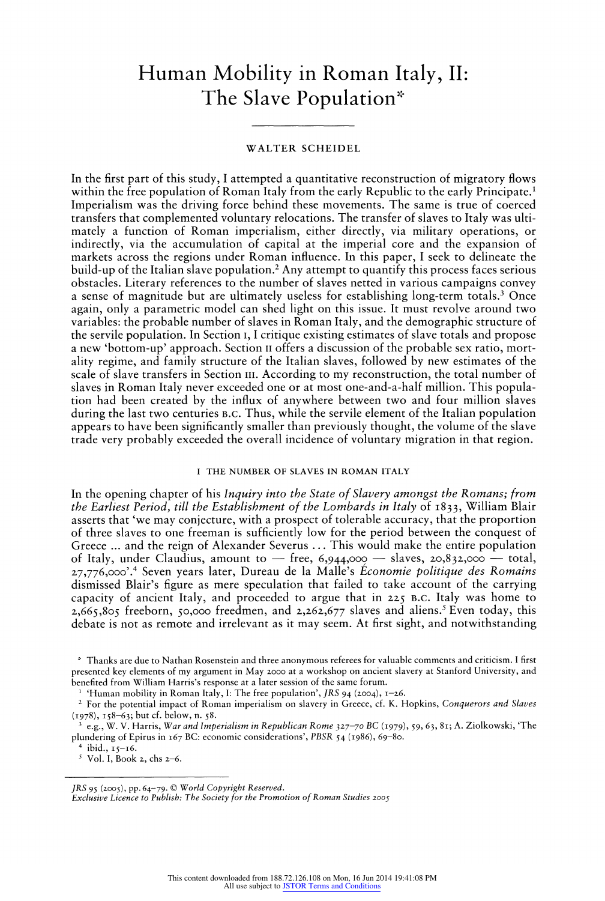# **Human Mobility in Roman Italy, II: The Slave Population\***

# **WALTER SCHEIDEL**

**In the first part of this study, I attempted a quantitative reconstruction of migratory flows within the free population of Roman Italy from the early Republic to the early Principate.1 Imperialism was the driving force behind these movements. The same is true of coerced transfers that complemented voluntary relocations. The transfer of slaves to Italy was ulti mately a function of Roman imperialism, either directly, via military operations, or**  indirectly, via the accumulation of capital at the imperial core and the expansion of markets across the regions under Roman influence. In this paper, I seek to delineate the **markets across the regions under Roman influence. In this paper, I seek to delineate the build-up of the Italian slave population.<sup>2</sup> Any attempt to quantify this process faces serious**  $\frac{1}{2}$  **is a serious**  $\frac{1}{2}$  **in the serious**  $\frac{1}{2}$  **is a serious**  $\frac{1}{2}$  **in the serious serious**  $\frac{1}{2}$  **is a seriou obstacles. Literary references to the number of slaves netted in various campaigns convey a sense of magnitude but are ultimately useless for establishing long-term totals.3 Once again, only a parametric model can shed light on this issue. It must revolve around two variables: the probable number of slaves in Roman Italy, and the demographic structure of the servile population. In Section I, I critique existing estimates of slave totals and propose a new 'bottom-up' approach. Section n offers a discussion of the probable sex ratio, mort ality regime, and family structure of the Italian slaves, followed by new estimates of the scale of slave transfers in Section in. According to my reconstruction, the total number of slaves in Roman Italy never exceeded one or at most one-and-a-half million. This popula tion had been created by the influx of anywhere between two and four million slaves during the last two centuries b.c. Thus, while the servile element of the Italian population appears to have been significantly smaller than previously thought, the volume of the slave trade very probably exceeded the overall incidence of voluntary migration in that region.** 

#### **I THE NUMBER OF SLAVES IN ROMAN ITALY**

**In the opening chapter of his Inquiry into the State of Slavery amongst the Romans; from the Earliest Period, till the Establishment of the Lombards in Italy of 1833, William Blair asserts that 'we may conjecture, with a prospect of tolerable accuracy, that the proportion of three slaves to one freeman is sufficiently low for the period between the conquest of Greece ... and the reign of Alexander Severus ... This would make the entire population**  of Italy, under Claudius, amount to — free, 6,944,000 — slaves, 20,832,000 — tot<br>27,776,000'.<sup>4</sup> Seven years later, Dureau de la Malle's Économie politique des Romai **dismissed Blair's figure as mere speculation that failed to take account of the carrying capacity of ancient Italy, and proceeded to argue that in 225 b.c. Italy was home to 2,665,805 freeborn, 50,000 freedmen, and 2,262,677 slaves and aliens.5 Even today, this debate is not as remote and irrelevant as it may seem. At first sight, and notwithstanding** 

**\* Thanks are due to Nathan Rosenstein and three anonymous referees for valuable comments and criticism. I first presented key elements of my argument in May 2000 at a workshop on ancient slavery at Stanford University, and benefited from William Harris's response at a later session of the same forum.** 

<sup>1</sup> 'Human mobility in Roman Italy, I: The free population', *JRS* 94 (2004), 1–26.

**2 For the potential impact of Roman imperialism on slavery in Greece, cf. K. Hopkins, Conquerors and Slaves (1978), 158-63; but cf. below, n. 58.** 

**3 e.g., W. V. Harris, War and Imperialism in Republican Rome 327-70 BC (1979), 59, 63, 81; A. Ziolkowski, 'The**  plundering of Epirus in 167 BC: economic considerations', PBSR 54 (1986), 69-80.

 $4$  ibid.,  $15-16$ .

<sup>&</sup>lt;sup>5</sup> Vol. I, Book 2, chs 2-6.

**JRS 95 (2005), pp. 64-79. ? World Copyright Reserved.** 

**Exclusive Licence to Publish: The Society for the Promotion of Roman Studies 2005**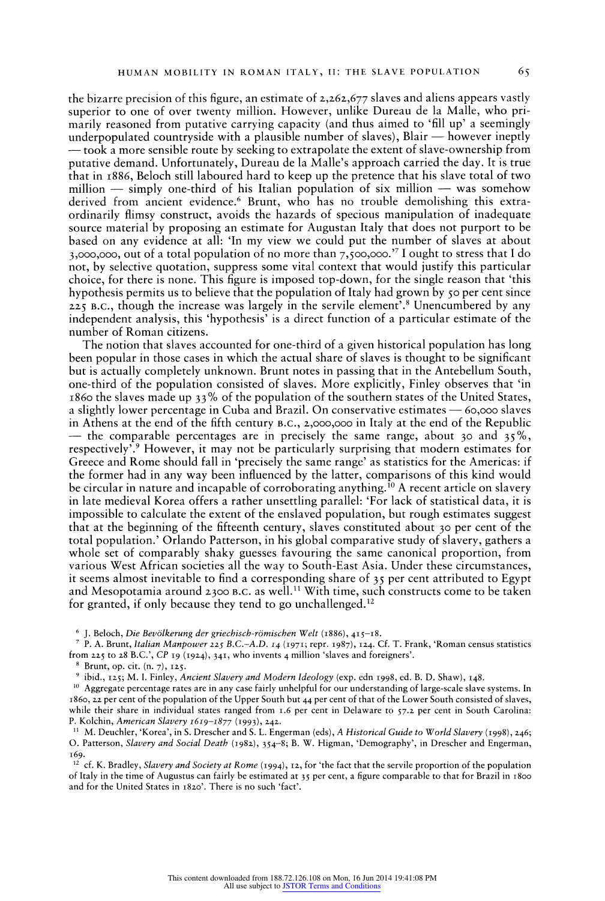**the bizarre precision of this figure, an estimate of 2,262,677 slaves and aliens appears vastly**  superior to one of over twenty million. However, unlike Dureau de la Malle, who principles **marily reasoned from putative carrying capacity (and thus aimed to 'fill up' a seemingly**  underpopulated countryside with a plausible number of slaves), Blair — however ineptly <br>— took a more sensible route by seeking to extrapolate the extent of slave-ownership from **took a more sensible route by seeking to extrapolate the extent of slave-ownership from putative demand. Unfortunately, Dureau de la Malle's approach carried the day. It is true that in 1886, Beloch still laboured hard to keep up the pretence that his slave total of two**  million  $\frac{1}{2}$  simply one-third of his Italian population of six million  $\frac{1}{2}$  was somehow  $\frac{1}{2}$  from project with  $\frac{1}{2}$  from project with  $\frac{1}{2}$  from project with  $\frac{1}{2}$  from project with  $\frac{1}{2}$  f **derived from ancient evidence.6 Brunt, who has no trouble demolishing this extra ordinarily flimsy construct, avoids the hazards of specious manipulation of inadequate source material by proposing an estimate for Augustan Italy that does not purport to be based on any evidence at all: 'In my view we could put the number of slaves at about 3,000,000, out of a total population of no more than 7,500,00o.'7 I ought to stress that I do not, by selective quotation, suppress some vital context that would justify this particular choice, for there is none. This figure is imposed top-down, for the single reason that 'this hypothesis permits us to believe that the population of Italy had grown by 50 per cent since 225 b.c., though the increase was largely in the servile element'. Unencumbered by any independent analysis, this 'hypothesis' is a direct function of a particular estimate of the number of Roman citizens.** 

**The notion that slaves accounted for one-third of a given historical population has long been popular in those cases in which the actual share of slaves is thought to be significant but is actually completely unknown. Brunt notes in passing that in the Antebellum South, one-third of the population consisted of slaves. More explicitly, Finley observes that 'in i860 the slaves made up 33% of the population of the southern states of the United States,**  a slightly lower percentage in Cuba and Brazil. On conservative estimates – 60,000 slaves **a** in Athens at the end of the fifth century B.C., 2,000,000 in Italy at the end of the Repub<br>
— the comparable percentages are in precisely the same range, about 30 and 35<sup>%</sup> **respectively'.9 However, it may not be particularly surprising that modern estimates for Greece and Rome should fall in 'precisely the same range' as statistics for the Americas: if the former had in any way been influenced by the latter, comparisons of this kind would be circular in nature and incapable of corroborating anything.10 A recent article on slavery in late medieval Korea offers a rather unsettling parallel: 'For lack of statistical data, it is impossible to calculate the extent of the enslaved population, but rough estimates suggest that at the beginning of the fifteenth century, slaves constituted about 30 per cent of the total population.' Orlando Patterson, in his global comparative study of slavery, gathers a whole set of comparably shaky guesses favouring the same canonical proportion, from various West African societies all the way to South-East Asia. Under these circumstances, it seems almost inevitable to find a corresponding share of 35 per cent attributed to Egypt**  and Mesopotamia around 2300 B.C. as well.<sup>11</sup> With time, such constructs come to be taken **for granted, if only because they tend to go unchallenged.12** 

<sup>6</sup> J. Beloch, Die Bevölkerung der griechisch-römischen Welt (1886), 415–18.

P. A. Brunt, Italian Manpower 225 B.C.-A.D. 14 (1971; repr. 1987), 124. Cf. T. Frank, 'Roman census statistics **from 225 to 28 B.C.', CP 19 (1924), 341, who invents 4 million 'slaves and foreigners'. 8** 

**Brunt, op. cit. (n. 7), 125.** 

<sup>9</sup> ibid., 125; M. I. Finley, Ancient Slavery and Modern Ideology (exp. edn 1998, ed. B. D. Shaw), 148.

<sup>1</sup> bidd., 125; M. I. Finiey, *Ancient Slavery and Modern Ideology* (exp. edn 1998, ed. b. D. Shaw), 148.<br><sup>10</sup> Aggregate percentage rates are in any case fairly unhelpful for our understanding of large-scale slave systems. **i860, 22 per cent of the population of the Upper South but 44 per cent of that of the Lower South consisted of slaves, while their share in individual states ranged from 1.6 per cent in Delaware to 57.2 per cent in South Carolina: P. Kolchin, American Slavery 1619-1877 (1993), 242.** 

<sup>11</sup> M. Deuchler, 'Korea', in S. Drescher and S. L. Engerman (eds), A Historical Guide to World Slavery (1998), 246; O. Patterson, Slavery and Social Death (1982), 354-8; B. W. Higman, 'Demography', in Drescher and Engerman, 169.

<sup>12</sup> cf. K. Bradley, Slavery and Society at Rome (1994), 12, for 'the fact that the servile proportion of the population **of Italy in the time of Augustus can fairly be estimated at 35 per cent, a figure comparable to that for Brazil in 1800 and for the United States in 1820'. There is no such 'fact'.**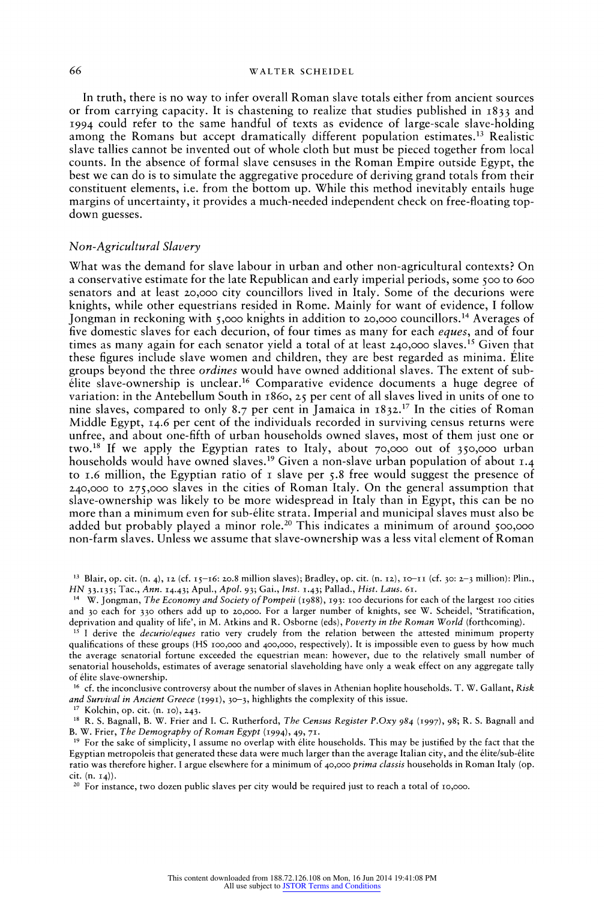#### **66 WALTER SCHEIDEL**

**In truth, there is no way to infer overall Roman slave totals either from ancient sources or from carrying capacity. It is chastening to realize that studies published in 1833 and 1994 could refer to the same handful of texts as evidence of large-scale slave-holding among the Romans but accept dramatically different population estimates.13 Realistic slave tallies cannot be invented out of whole cloth but must be pieced together from local counts. In the absence of formal slave censuses in the Roman Empire outside Egypt, the best we can do is to simulate the aggregative procedure of deriving grand totals from their constituent elements, i.e. from the bottom up. While this method inevitably entails huge**  margins of uncertainty, it provides a much-needed independent check on free-floating top**down guesses.** 

# **Non-Agricultural Slavery**

**What was the demand for slave labour in urban and other non-agricultural contexts? On a conservative estimate for the late Republican and early imperial periods, some 500 to 600 senators and at least 20,000 city councillors lived in Italy. Some of the decurions were knights, while other equestrians resided in Rome. Mainly for want of evidence, I follow Jongman in reckoning with 5,000 knights in addition to 20,000 councillors.14 Averages of**  five domestic slaves for each decurion, of four times as many for each *eques*, and of four **times as many again for each senator yield a total of at least 240,000 slaves.15 Given that these figures include slave women and children, they are best regarded as minima. Elite**  élite slave-ownership is unclear.<sup>16</sup> Comparative evidence documents a huge degree of ente slave-ownership is unclear. Comparative evidence documents a huge degree of **variation: in the Antebellum South in i860, 25 per cent of all slaves lived in units of one to nine slaves, compared to only 8.7 per cent in Jamaica in 1832.17 In the cities of Roman Middle Egypt, 14.6 per cent of the individuals recorded in surviving census returns were unfree, and about one-fifth of urban households owned slaves, most of them just one or**  two.<sup>18</sup> If we apply the Egyptian rates to Italy, about 70,000 out of 350,000 urban households would have owned slaves.<sup>19</sup> Given a non-slave urban population of about 1.4 **households would have owned slaves.19 Given a non-slave urban population of about 1.4 to 1.6 million, the Egyptian ratio of 1 slave per 5.8 free would suggest the presence of 240,000 to 275,000 slaves in the cities of Roman Italy. On the general assumption that slave-ownership was likely to be more widespread in Italy than in Egypt, this can be no more than a minimum even for sub-elite strata. Imperial and municipal slaves must also be**  added but probably played a minor role.<sup>20</sup> This indicates a minimum of around 500,000 *and*  $\alpha$  **D**  $\alpha$  **but all the set of D**  $\alpha$  **c non-farm slaves. Unless we assume that slave-ownership was a less vital element of Roman** 

**17 Kolchin, op. cit. (n. 10), 243.** 

**18 R. S. Bagnall, B. W. Frier and I. C. Rutherford, The Census Register P.Oxy 984 (1997), 98; R. S. Bagnall and B. W. Frier, The Demography of Roman Egypt (1994), 49, 71.** 

<sup>20</sup> For instance, two dozen public slaves per city would be required just to reach a total of 10,000.

<sup>&</sup>lt;sup>13</sup> Blair, op. cit. (n. 4), 12 (cf. 15–16: 20.8 million slaves); Bradley, op. cit. (n. 12), 10–11 (cf. 30: 2–3 million): Plin **HN 33.135; Tac, Ann. 14.43; Apul., Apol. 93; Gai., Inst. 1.43; Pallad., Hist. Laus. 61.** 

**<sup>14</sup> W. Jongman, The Economy and Society of Pompeii (1988), 193: 100 decurions for each of the largest 100 cities**  and 30 each for 330 others add up to 20,000. For a larger number of knights, see W. Scheidel, 'Stratification, deprivation and quality of life', in M. Atkins and R. Osborne (eds), *Poverty in the Roman World* (forthcoming)

<sup>&</sup>lt;sup>15</sup> I derive the *decurio/eques* ratio very crudely from the relation between the attested minimum property **qualifications of these groups (HS 100,000 and 400,000, respectively). It is impossible even to guess by how much the average senatorial fortune exceeded the equestrian mean: however, due to the relatively small number of senatorial households, estimates of average senatorial slaveholding have only a weak effect on any aggregate tally** 

<sup>&</sup>lt;sup>16</sup> cf. the inconclusive controversy about the number of slaves in Athenian hoplite households. T. W. Gallant, Risk **and Survival in Ancient Greece (1991), 30-3, highlights the complexity of this issue.** 

<sup>&</sup>lt;sup>19</sup> For the sake of simplicity, I assume no overlap with élite households. This may be justified by the fact that the Egyptian metropoleis that generated these data were much larger than the average Italian city, and the élite/sub-élite ratio was therefore higher. I argue elsewhere for a minimum of 40,000 *prima classis* households in Roman Italy (op. *cit.* (n. 14)).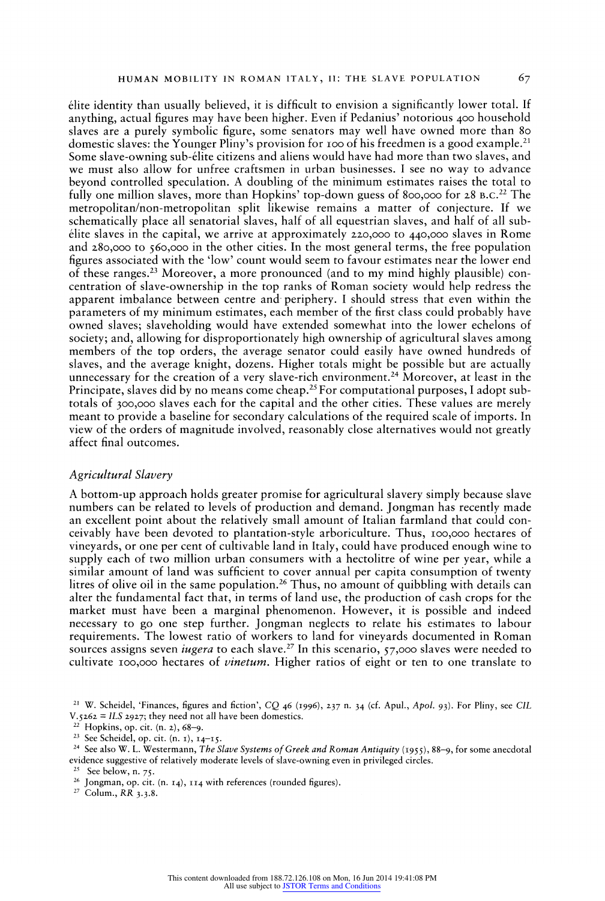**?lite identity than usually believed, it is difficult to envision a significantly lower total. If**  slaves are a purely symbolic figure, some senators may well have owned more than 80 slaves are a purely symbolic figure, some senators may well have owned more than 80 **domestic slaves: the Younger Pliny's provision for 100 of his freedmen is a good example.**<br>2011 Came also assumed the site of the site of the same of the same of the same of the same of the same of the site of the site of **Some slave-owning sub-elite citizens and aliens would have had more than two slaves, and we must also allow for unfree craftsmen in urban businesses. I see no way to advance beyond controlled speculation. A doubling of the minimum estimates raises the total to**  fully one million slaves, more than Hopkins' top-down guess of 800,000 for 28 B.C.<sup>22</sup> The **metropolitan/non-metropolitan split likewise remains a matter of conjecture. If we schematically place all senatorial slaves, half of all equestrian slaves, and half of all sub ?lite slaves in the capital, we arrive at approximately 220,000 to 440,000 slaves in Rome**  and 280,000 to 560,000 in the other cities. In the most general terms, the free population **and figures associated with the 'low' count would seem to favour estimates near the lower end of these ranges.23 Moreover, a more pronounced (and to my mind highly plausible) con centration of slave-ownership in the top ranks of Roman society would help redress the apparent imbalance between centre and periphery. I should stress that even within the parameters of my minimum estimates, each member of the first class could probably have owned slaves; slaveholding would have extended somewhat into the lower echelons of society; and, allowing for disproportionately high ownership of agricultural slaves among members of the top orders, the average senator could easily have owned hundreds of slaves, and the average knight, dozens. Higher totals might be possible but are actually unnecessary for the creation of a very slave-rich environment.24 Moreover, at least in the**  Principate, slaves did by no means come cheap.<sup>25</sup> For computational purposes, I adopt sub**totals of 300,000 slaves each for the capital and the other cities. These values are merely meant to provide a baseline for secondary calculations of the required scale of imports. In view of the orders of magnitude involved, reasonably close alternatives would not greatly affect final outcomes.** 

#### **Agricultural Slavery**

**A bottom-up approach holds greater promise for agricultural slavery simply because slave numbers can be related to levels of production and demand. Jongman has recently made**  an excellent point about the relatively small amount of Italian farmland that could con**ceivably have been devoted to plantation-style arboriculture. Thus, 100,000 hectares of vineyards, or one per cent of cultivable land in Italy, could have produced enough wine to supply each of two million urban consumers with a hectolitre of wine per year, while a similar amount of land was sufficient to cover annual per capita consumption of twenty**  litres of olive oil in the same population.<sup>26</sup> Thus, no amount of quibbling with details can **alter the fundamental fact that, in terms of land use, the production of cash crops for the market must have been a marginal phenomenon. However, it is possible and indeed necessary to go one step further. Jongman neglects to relate his estimates to labour requirements.** The lowest ratio of workers to land for vineyards documented in Roman **Roman** sources assigns seven *ingera* to each slave.<sup>2</sup> In this scenario, 57,000 slaves were needed to **cultivate 100,000 hectares of vinetum. Higher ratios of eight or ten to one translate to** 

**Colum., RR 3.3.8.** 

**<sup>21</sup> W. Scheidel, 'Finances, figures and fiction', CQ 46 (1996), 237 n. 34 (cf. Apul., Apol. 93). For Pliny, see CIL V.5262 = ILS 2927; they need not all have been domestics.** 

<sup>&</sup>lt;sup>22</sup> Hopkins, op. cit. (n. 2), 68-9.

<sup>&</sup>lt;sup>23</sup> See Scheidel, op. cit. (n. 1), 14–15.<br><sup>24</sup> See also W. L. Westermann, *The Slave Systems of Greek and Roman Antiquity* (1955), 88–9, for some anecdotal **evidence suggestive of relatively moderate levels of slave-owning even in privileged circles.** 

**<sup>25</sup> See below, n. 7\$.** 

<sup>&</sup>lt;sup>26</sup> Jongman, op. cit. (n. 14), 114 with references (rounded figures). <sup>27</sup> Colum., RR 3.3.8.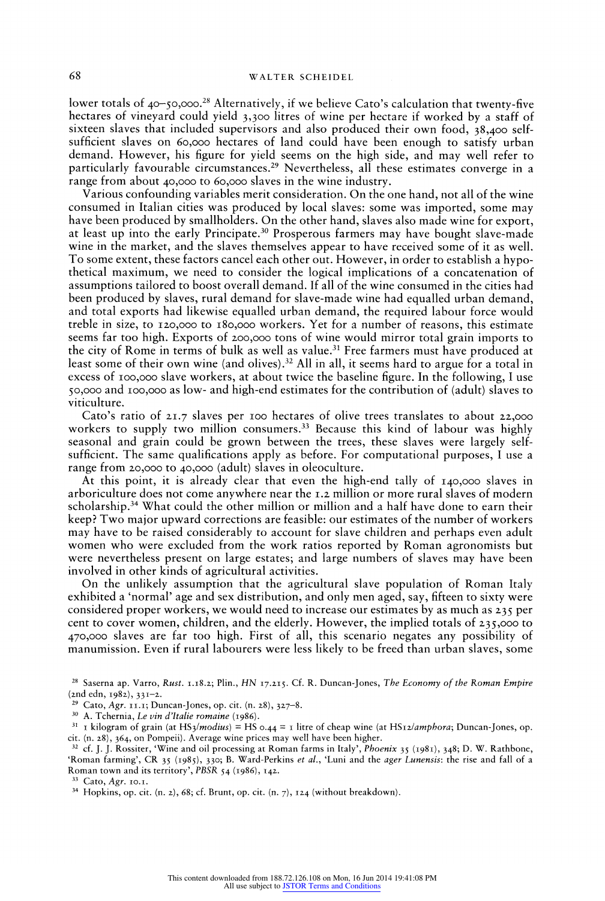**lower totals of 40~50,ooo.28 Alternatively, if we believe Cato's calculation that twenty-five hectares of vineyard could yield 3,300 litres of wine per hectare if worked by a staff of**  sixteen slaves that included supervisors and also produced their own food, 38,400 self<br>cufficient eleves on *Co. and hattage* of land agula<sup>l</sup> have been aggregate to satisfy what **sufficient slaves on 60,000 hectares of land could have been enough to satisfy urban demand. However, his figure for yield seems on the high side, and may well refer to particularly favourable circumstances.29 Nevertheless, all these estimates converge in a range from about 40,000 to 60,000 slaves in the wine industry.** 

**Various confounding variables merit consideration. On the one hand, not all of the wine consumed in Italian cities was produced by local slaves: some was imported, some may**  have been produced by smallholders. On the other hand, slaves also made wine for export at least up into the early Principate.<sup>30</sup> Prosperous farmers may have bought slave-made in the month of the case **wine in the market, and the slaves themselves appear to have received some of it as well.**  To some extent, these factors cancel each other out. However, in order to establish a hypo**thetical maximum, we need to consider the logical implications of a concatenation of assumptions tailored to boost overall demand. If all of the wine consumed in the cities had been produced by slaves, rural demand for slave-made wine had equalled urban demand, and total exports had likewise equalled urban demand, the required labour force would treble in size, to 120,000 to 180,000 workers. Yet for a number of reasons, this estimate**  seems far too high. Exports of 200,000 tons of wine would mirror total grain imports to the city of Rome in terms of bulk as well as value.<sup>31</sup> Free farmers must have produced at the city of Rome in terms of bulk as well as value.<sup>31</sup> Free farmers must have produced at <br>least some of their sum wise (and alime) <sup>32</sup> All in all it seems hard to space for a total in least some of their own wine (and olives).<sup>32</sup> All in all, it seems hard to argue for a total in **excess of 100,000 slave workers, at about twice the baseline figure. In the following, I use 50,000 and 100,000 as low- and high-end estimates for the contribution of (adult) slaves to viticulture.** 

**Cato's ratio of 21.7 slaves per 100 hectares of olive trees translates to about 22,000 workers to supply two million consumers.33 Because this kind of labour was highly**  seasonal and grain could be grown between the trees, these slaves were largely self**sufficient. The same qualifications apply as before. For computational purposes, I use a range from 20,000 to 40,000 (adult) slaves in oleoculture.** 

**At this point, it is already clear that even the high-end tally of 140,000 slaves in arboriculture does not come anywhere near the 1.2 million or more rural slaves of modern scholarship.34 What could the other million or million and a half have done to earn their keep? Two major upward corrections are feasible: our estimates of the number of workers may have to be raised considerably to account for slave children and perhaps even adult women who were excluded from the work ratios reported by Roman agronomists but were nevertheless present on large estates; and large numbers of slaves may have been involved in other kinds of agricultural activities.** 

**On the unlikely assumption that the agricultural slave population of Roman Italy exhibited a 'normal' age and sex distribution, and only men aged, say, fifteen to sixty were considered proper workers, we would need to increase our estimates by as much as 235 per cent to cover women, children, and the elderly. However, the implied totals of 235,000 to 470,000 slaves are far too high. First of all, this scenario negates any possibility of manumission. Even if rural labourers were less likely to be freed than urban slaves, some** 

**<sup>28</sup> Saserna ap. Varro, Rust. 1.18.2; Plin., HN 17.215. Cf. R. Duncan-Jones, The Economy of the Roman Empire (2nd edn, 1982), 331-2.** 

<sup>&</sup>lt;sup>29</sup> Cato, *Agr.* 11.1; Duncan-Jones, op. cit. (n. 28), 327-

<sup>&</sup>lt;sup>30</sup> A. Tchernia, *Le vin d'Italie romaine* (1986).<br><sup>31</sup> 1 kilogram of grain (at HS3/modius) = HS 0.44 = 1 litre of cheap wine (at HS12/amphora; Duncan-Jones, op. cit. (n. 28), 364, on Pompeii). Average wine prices may well have been higher.<br><sup>32</sup> cf. J. J. Rossiter, 'Wine and oil processing at Roman farms in Italy', *Phoenix* 35 (1981), 348; D. W. Rathbone,

**<sup>&#</sup>x27;Roman farming', CR 35 (1985), 330; B. Ward-Perkins et al., 'Luni and the ager Lunensis: the rise and fall of a Roman town and its territory', PBSR 54 (1986), 142.** 

**<sup>33</sup>  Cato, Agr. 10.1.** 

<sup>&</sup>lt;sup>34</sup> **Hopkins, op. cit.** (n. 2), 68; cf. Brunt, op. cit. (n. 7), 124 (without breakdown).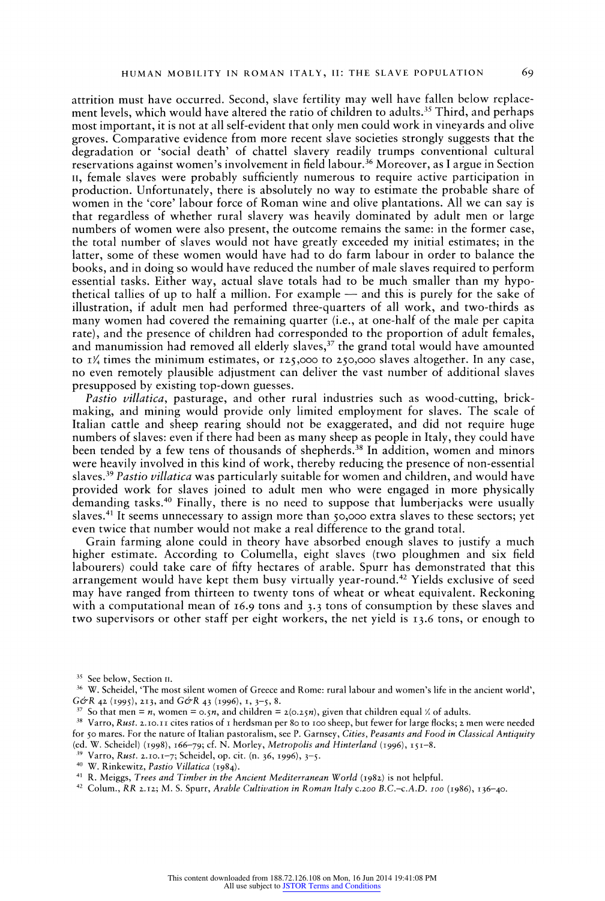**attrition must have occurred. Second, slave fertility may well have fallen below replace ment levels, which would have altered the ratio of children to adults.35 Third, and perhaps most important, it is not at all self-evident that only men could work in vineyards and olive groves. Comparative evidence from more recent slave societies strongly suggests that the degradation or 'social death' of chattel slavery readily trumps conventional cultural**  reservations against women's involvement in field labour. Moreover, as I argue in Section **1986 11, female slaves were probably sufficiently numerous to require active participation in production. Unfortunately, there is absolutely no way to estimate the probable share of women in the 'core' labour force of Roman wine and olive plantations. All we can say is that regardless of whether rural slavery was heavily dominated by adult men or large numbers of women were also present, the outcome remains the same: in the former case, the total number of slaves would not have greatly exceeded my initial estimates; in the latter, some of these women would have had to do farm labour in order to balance the books, and in doing so would have reduced the number of male slaves required to perform**  essential tasks. Either way, actual slave totals had to be much smaller than my hypo $t$  thetical tallies of up to half a million. For example  $-$  and this is purely for the sake of  $\frac{1}{2}$ **illustration, if adult men had performed three-quarters of all work, and two-thirds as many women had covered the remaining quarter (i.e., at one-half of the male per capita rate), and the presence of children had corresponded to the proportion of adult females,**  and manumission had removed all elderly slaves,<sup>37</sup> the grand total would have amounted **to iY4 times the minimum estimates, or 125,000 to 250,000 slaves altogether. In any case, no even remotely plausible adjustment can deliver the vast number of additional slaves** 

**presupposed by existing top-down guesses. Pastio villatica, pasturage, and other rural industries such as wood-cutting, brick making, and mining would provide only limited employment for slaves. The scale of Italian cattle and sheep rearing should not be exaggerated, and did not require huge numbers of slaves: even if there had been as many sheep as people in Italy, they could have been tended by a few tens of thousands of shepherds.38 In addition, women and minors were heavily involved in this kind of work, thereby reducing the presence of non-essential slaves.39 Pastio villatica was particularly suitable for women and children, and would have provided work for slaves joined to adult men who were engaged in more physically demanding tasks.40 Finally, there is no need to suppose that lumberjacks were usually slaves.41 It seems unnecessary to assign more than 50,000 extra slaves to these sectors; yet even twice that number would not make a real difference to the grand total.** 

**Grain farming alone could in theory have absorbed enough slaves to justify a much higher estimate. According to Columella, eight slaves (two ploughmen and six field labourers) could take care of fifty hectares of arable. Spurr has demonstrated that this arrangement would have kept them busy virtually year-round.42 Yields exclusive of seed may have ranged from thirteen to twenty tons of wheat or wheat equivalent. Reckoning with a computational mean of 16.9 tons and 3.3 tons of consumption by these slaves and two supervisors or other staff per eight workers, the net yield is 13.6 tons, or enough to** 

**<sup>35</sup> See below, Section 11.** 

**<sup>36</sup> W. Scheidel, 'The most silent women of Greece and Rome: rural labour and women's life in the ancient world', G&R 42 (1995), 213, and G&R 43 (1996), 1, 3-5, 8.** 

<sup>&</sup>lt;sup>37</sup> So that men = *n*, women = 0.5*n*, and children =  $2(0.25n)$ , given that children equal  $\frac{1}{2}$  of adults.

<sup>&</sup>lt;sup>38</sup> Varro, *Rust.* 2.10.11 cites ratios of 1 herdsman per 80 to 100 sheep, but fewer for large flocks; 2 men were need **for 50 mares. For the nature of Italian pastoralism, see P. Garnsey, Cities, Peasants and Food in Classical Antiquity**  (ed. W. Scheidel) (1998), 166-79; cf. N. Morley, Metropolis and Hinterland (1996), 151-8.

<sup>&</sup>lt;sup>39</sup> Varro, *Rust.* 2.10.1–7; Scheidel, op. cit. (n. 36, 1996), 3–5.<br><sup>40</sup> W. Rinkewitz, *Pastio Villatica* (1984).

<sup>&</sup>lt;sup>41</sup> R. Meiggs, Trees and Timber in the Ancient Mediterranean World (1982) is not helpful.

**Colum., RR 2.12; M. S. Spurr, Arable Cultivation in Roman Italy c.200 B.C.-c.A.D. 100 (1986), 136-40.**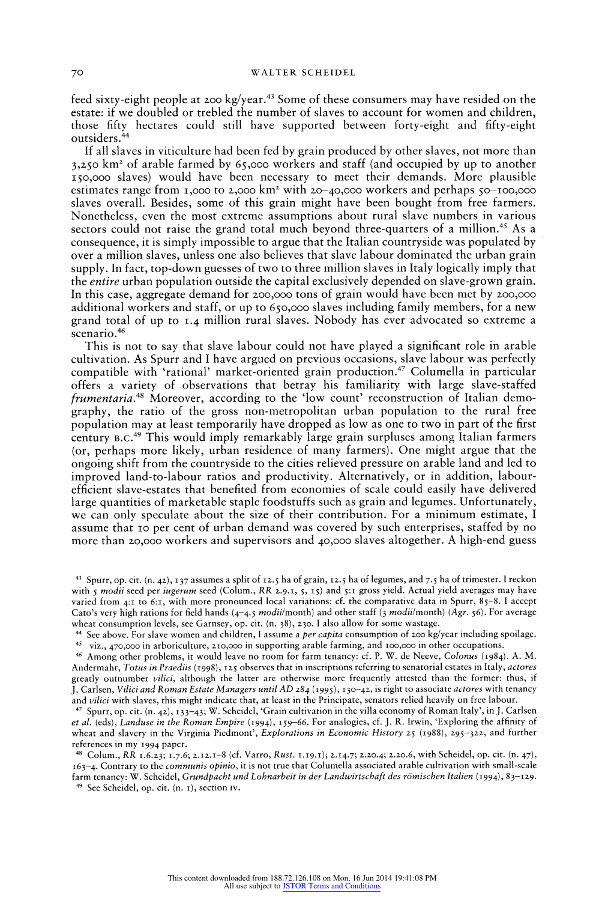**feed sixty-eight people at 200 kg/year.43 Some of these consumers may have resided on the estate: if we doubled or trebled the number of slaves to account for women and children, those fifty hectares could still have supported between forty-eight and fifty-eight outsiders.44** 

**If all slaves in viticulture had been fed by grain produced by other slaves, not more than 3,250 km2 of arable farmed by 65,000 workers and staff (and occupied by up to another 150,000 slaves) would have been necessary to meet their demands. More plausible estimates range from 1,000 to 2,000 km** with 20-40,000 workers and perhaps 50-100 slaves overall. Besides, some of this grain might have been bought from free farmer **Nonetheless, even the most extreme assumptions about rural slave numbers in various sectors could not raise the grand total much beyond three-quarters of a million.45 As a consequence, it is simply impossible to argue that the Italian countryside was populated by over a million slaves, unless one also believes that slave labour dominated the urban grain supply. In fact, top-down guesses of two to three million slaves in Italy logically imply that the entire urban population outside the capital exclusively depended on slave-grown grain.**  In this case, aggregate demand for 200,000 tons of grain would have been met by 200, **additional workers and staff, or up to 650,000 slaves including family members, for a new grand total of up to 1.4 million rural slaves. Nobody has ever advocated so extreme a scenario.46** 

**This is not to say that slave labour could not have played a significant role in arable**  cultivation. As Spurr and I have argued on previous occasions, si*ve* labour was perfe **compatible with 'rational' market-oriented grain production.<sup>47</sup> Columella in particular compatible with the condition of the condition of the condition of the condition of the condition of the condition of the condition offers a variety of observations that betray his familiarity with large slave-staffed**  frumentaria.<sup>48</sup> Moreover, according to the 'low count' reconstruction of Italian demography, the ratio of the gross non-metropolitan urban population to the rural free **graphy, the ratio of the gross non-metropolitan urban population to the rural free population may at least temporarily have dropped as low as one to two in part of the first century b.c.49 This would imply remarkably large grain surpluses among Italian farmers (or, perhaps more likely, urban residence of many farmers). One might argue that the ongoing shift from the countryside to the cities relieved pressure on arable land and led to improved land-to-labour ratios and productivity. Alternatively, or in addition, labour efficient slave-estates that benefited from economies of scale could easily have delivered large quantities of marketable staple foodstuffs such as grain and legumes. Unfortunately, we can only speculate about the size of their contribution. For a minimum estimate, I assume that 10 per cent of urban demand was covered by such enterprises, staffed by no more than 20,000 workers and supervisors and 40,000 slaves altogether. A high-end guess** 

<sup>&</sup>lt;sup>43</sup> Spurr, op. cit. (n. 42), 137 assumes a split of 12.5 ha of grain, 12.5 ha of legumes, and 7.5 ha of trimester. I recko **with 5 modii seed per iugerum seed (Colum., RR 2.9.1, 5, 15) and 5:1 gross yield. Actual yield averages may have varied from 4:1 to 6:1, with more pronounced local variations: cf. the comparative data in Spurr, 85-8. I accept Cato's very high rations for field hands (4-4.5 modii/monih) and other staff (3 modii/month) (Agr. 56). For average wheat consumption levels, see Garnsey, op. cit. (n. 38), 230. I also allow for some wastage.** 

**<sup>44</sup> See above. For slave women and children, I assume a per capita consumption of 200 kg/year including spoilage.** 

<sup>&</sup>lt;sup>45</sup> viz., 470,000 in arboriculture, 210,000 in supporting arable farming, and 100,000 in other occupations. **46 Among other problems, it would leave no room for farm tenancy: cf. P. W. de Neeve, Colonus (1984). A. M.** 

Andermahr, Totus in Praediis (1998), 125 observes that in inscriptions referring to senatorial estates in Italy, actores **greatly outnumber vilici, although the latter are otherwise more frequently attested than the former: thus, if J. Carlsen, Vilici and Roman Estate Managers until AD 284 (1995), 130-42, is right to associate actores with tenancy and vilici with slaves, this might indicate that, at least in the Principate, senators relied heavily on free labour.** 

**<sup>47</sup>  Spurr, op. cit. (n. 42), 133-43; W. Scheidel, 'Grain cultivation in the villa economy of Roman Italy', in J. Carlsen et al. (eds), Landuse in the Roman Empire (1994), 159-66. For analogies, cf. J. R. Irwin, 'Exploring the affinity of wheat and slavery in the Virginia Piedmont', Explorations in Economic History 25 (1988), 295-322, and further references in my 1994 paper.** 

**<sup>48</sup>  Colum., RR 1.6.23; 1.7.6; 2.12.1-8 (cf. Varro, Rust. 1.19.1); 2.14.7; 2.20.4; 2.20.6, with Scheidel, op. cit. (n. 47), 163-4. Contrary to the communis opinio, it is not true that Columella associated arable cultivation with small-scale**  farm tenancy: W. Scheidel, Grundpacht und Lohnarbeit in der Landwirtschaft des römischen Italien (1994), 83-129. **49 See Scheidel, op. cit. (n. 1), section iv.**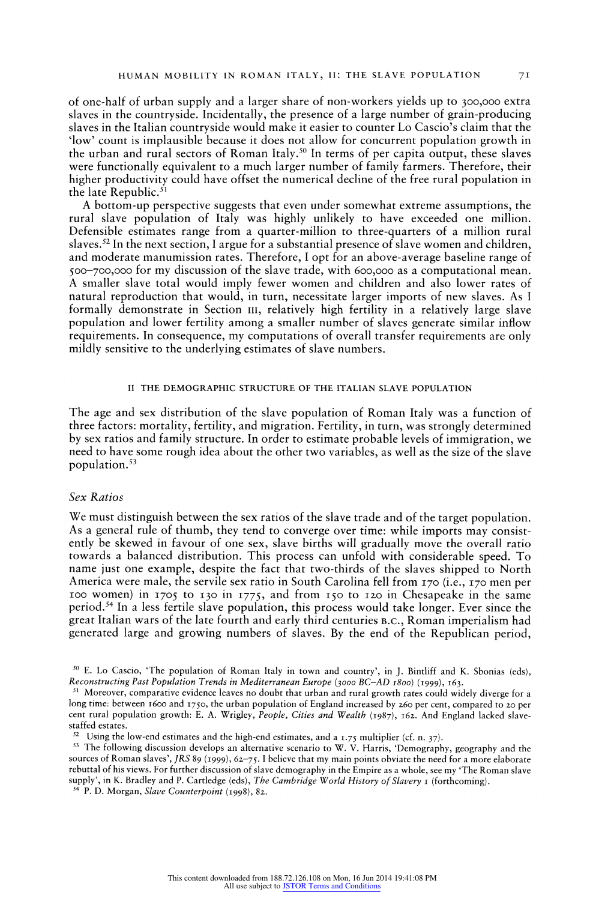**of one-half of urban supply and a larger share of non-workers yields up to 300,000 extra**  slaves in the countryside. Incidentally, the presence of a large number of grain-producing and the state of the state of the state of the state of the state of the state of the state of the state of the state of the state **slaves in the Italian countryside would make it easier to counter Lo Cascio's claim that the 'low' count is implausible because it does not allow for concurrent population growth in**  the urban and rural sectors of Roman Italy.<sup>50</sup> In terms of per capita output, these sia **were functionally equivalent to a much larger number of family farmers. Therefore, their higher productivity could have offset the numerical decline of the free rural population in the late Republic.51** 

**A bottom-up perspective suggests that even under somewhat extreme assumptions, the rural slave population of Italy was highly unlikely to have exceeded one million. Defensible estimates range from a quarter-million to three-quarters of a million rural slaves.52 In the next section, I argue for a substantial presence of slave women and children, and moderate manumission rates. Therefore, I opt for an above-average baseline range of 500-700,000 for my discussion of the slave trade, with 600,000 as a computational mean. A smaller slave total would imply fewer women and children and also lower rates of natural reproduction that would, in turn, necessitate larger imports of new slaves. As I formally demonstrate in Section in, relatively high fertility in a relatively large slave population and lower fertility among a smaller number of slaves generate similar inflow requirements. In consequence, my computations of overall transfer requirements are only mildly sensitive to the underlying estimates of slave numbers.** 

#### **II THE DEMOGRAPHIC STRUCTURE OF THE ITALIAN SLAVE POPULATION**

**The age and sex distribution of the slave population of Roman Italy was a function of three factors: mortality, fertility, and migration. Fertility, in turn, was strongly determined by sex ratios and family structure. In order to estimate probable levels of immigration, we need to have some rough idea about the other two variables, as well as the size of the slave population.53** 

#### **Sex Ratios**

**We must distinguish between the sex ratios of the slave trade and of the target population.**  As a general rule of thumb, they tend to converge over time: while imports may consist**ently be skewed in favour of one sex, slave births will gradually move the overall ratio towards a balanced distribution. This process can unfold with considerable speed. To name just one example, despite the fact that two-thirds of the slaves shipped to North America were male, the servile sex ratio in South Carolina fell from 170 (i.e., 170 men per 100 women) in 1705 to 130 in 1775, and from 150 to 120 in Chesapeake in the same period.54 In a less fertile slave population, this process would take longer. Ever since the great Italian wars of the late fourth and early third centuries b.c., Roman imperialism had generated large and growing numbers of slaves. By the end of the Republican period,** 

<sup>&</sup>lt;sup>50</sup> E. Lo Cascio, 'The population of Roman Italy in town and country', in J. Bintliff and K. Sbonias (eds), *Reconstructing Past Population Trends in Mediterranean Europe* (3000 *BC–AD 1800*) (1999), 163.

Reconstructing Past Population Trends in Mediterranean Europe (3000 BC–AD 1800) (1999), 163.<br><sup>51</sup> Moreover, comparative evidence leaves no doubt that urban and rural growth rates could widely diverge for a **long time: between 1600 and 1750, the urban population of England increased by 260 per cent, compared to 20 per cent rural population growth: E. A. Wrigley, People, Cities and Wealth (1987), 162. And England lacked slave staffed estates.** 

<sup>&</sup>lt;sup>52</sup> Using the low-end estimates and the high-end estimates, and a 1.75 multiplier (cf. n. 37).

<sup>&</sup>lt;sup>53</sup> The following discussion develops an alternative scenario to W. V. Harris, 'Demography, geography and the **sources of Roman slaves', JRS 89 (1999), 62-75.1 believe that my main points obviate the need for a more elaborate rebuttal of his views. For further discussion of slave demography in the Empire as a whole, see my 'The Roman slave supply', in K. Bradley and P. Cartledge (eds), The Cambridge World History of Slavery 1 (forthcoming). 54 P. D. Morgan, Slave Counterpoint (1998), 82.**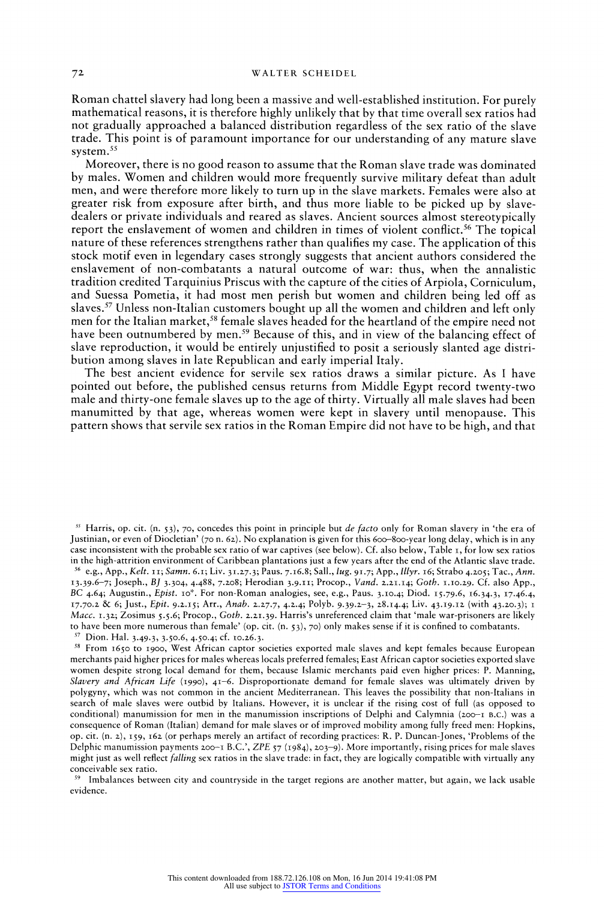### **7\* WALTER SCHEIDEL**

**Roman chattel slavery had long been a massive and well-established institution. For purely**  mathematical reasons, it is therefore highly unlikely that by that time overall sex ratios had **the contract of the sex ratios** had a had a had a had been also the contract of the contract of the contract of the contract o not gradually approached a balanced distribution regardless of the sex ratio of the slave **trade. This point is of paramount importance for our understanding of any mature slave** 

Moreover, there is no good reason to assume that the Roman slave trade was dominated **Moreover, there is no good reason to assume that the Roman slave trade was dominated by males. Women and children would more frequently survive military defeat than adult <br>
prop. and wore thankful more likely to turn un in the class market. Famely more also** men, and were therefore more likely to turn up in the slave markets. Females were also a greater risk from exposure after birth, and thus more liable to be picked up by slav<br>dealers or private individuals and reaged as claves. Apsient sequence almost expectation **dealers or private individuals and reared as slaves. Ancient sources almost stereotypically report the enslavement of women and children in times of violent conflict.56 The topical nature of these references strengthens rather than qualifies my case. The application of this stock motif even in legendary cases strongly suggests that ancient authors considered the enslavement of non-combatants a natural outcome of war: thus, when the annalistic tradition credited Tarquinius Priscus with the capture of the cities of Arpiola, Corniculu and Suessa Pometia, it had most men perish but women and children being led off as**  slaves.<sup>37</sup> Unless non-Italian customers bought up all the women and children and left only **property** men for the Italian market,<sup>38</sup> female slaves headed for the heartland of the empire need no<br>have been entrumplened by men <sup>59</sup> Reserves of this and in wism of the helanging of few a have been outnumbered by men.<sup>39</sup> Because of this, and in view of the balancing effect of  $\frac{1}{2}$  and  $\frac{1}{2}$  and  $\frac{1}{2}$  and  $\frac{1}{2}$  and  $\frac{1}{2}$  and  $\frac{1}{2}$  and  $\frac{1}{2}$  and  $\frac{1}{2}$  and  $\frac{1}{2}$  and  $\frac{1}{$ slave reproduction, it would be entirely unjustified to posit a seriously slanted age dist<br>bution among classes in late Bangklines and code imposing Italia **bution among slaves in late Republican and early imperial Italy.** 

**The best ancient evidence for servile sex ratios draws a similar picture. As I have pointed out before, the published census returns from Middle Egypt record twenty-two male and thirty-one female slaves up to the age of thirty. Virtually all male slaves had been manumitted by that age, whereas women were kept in slavery until menopause. This pattern shows that servile sex ratios in the Roman Empire did not have to be high, and that** 

<sup>55</sup> Harris, op. cit. (n. 53), 70, concedes this point in principle but *de facto* only for Roman slavery in 'the era o Justinian, or even of Diocletian' (70 n. 62). No explanation is given for this 600-800-year long delay, which is in any **case inconsistent with the probable sex ratio of war captives (see below). Cf. also below, Table 1, for low sex ratios in the high-attrition environment of Caribbean plantations just a few years after the end of the Atlantic slave trade.** 

<sup>56</sup> e.g., App., Kelt. 11; Samn. 6.1; Liv. 31.27.3; Paus. 7.16.8; Sall., lug. 91.7; App., Illyr. 16; Strabo 4.205; Tac., An **13.39.6-7; Joseph., BJ 3.304, 4.488, 7.208; Herodian 3.9.11; Procop., Vand. 2.21.14; Goth. 1.10.29. Cf. also App., BC 4.64; Augustin., Epist. 10\*. For non-Roman analogies, see, e.g., Paus. 3.10.4; Diod. 15.79.6, 16.34.3, 17-46.4, 17.70.2 ?C 6; Just., Epit. 9.2.15; Arr., Anab. 2.27.7, 4-2-4; Polyb. 9.39.2-3, 28.14.4; Liy- 43.19.12 (with 43.20.3); 1 Mace. 1.32; Zosimus 5.5.6; Procop., Goth. 2.21.39. Harris's unreferenced claim that 'male war-prisoners are likely**  to have been more numerous than female' (op. cit.  $(n, 53)$ , 70) only makes sense if it is confined to combatants.<br><sup>57</sup> Dion. Hal. 3.49.3, 3.50.6, 4.50.4; cf. 10.26.3.

<sup>58</sup> From 1650 to 1900, West African captor societies exported male slaves and kept females because European **merchants paid higher prices for males whereas locals preferred females; East African captor societies exported slave women despite strong local demand for them, because Islamic merchants paid even higher prices: P. Manning, Slavery and African Life (1990), 41-6. Disproportionate demand for female slaves was ultimately driven by polygyny, which was not common in the ancient Mediterranean. This leaves the possibility that non-Italians in search of male slaves were outbid by Italians. However, it is unclear if the rising cost of full (as opposed to conditional) manumission for men in the manumission inscriptions of Delphi and Calymnia (200-1 b.c.) was a consequence of Roman (Italian) demand for male slaves or of improved mobility among fully freed men: Hopkins, op. cit. (n. 2), 159, 162 (or perhaps merely an artifact of recording practices: R. P. Duncan-Jones, 'Problems of the Delphic manumission payments 200-1 B.C.', ZPE 57 (1984), 203?9). More importantly, rising prices for male slaves might just as well reflect falling sex ratios in the slave trade: in fact, they are logically compatible with virtually any conceivable sex ratio.** 

**59 Imbalances between city and countryside in the target regions are another matter, but again, we lack usable evidence.**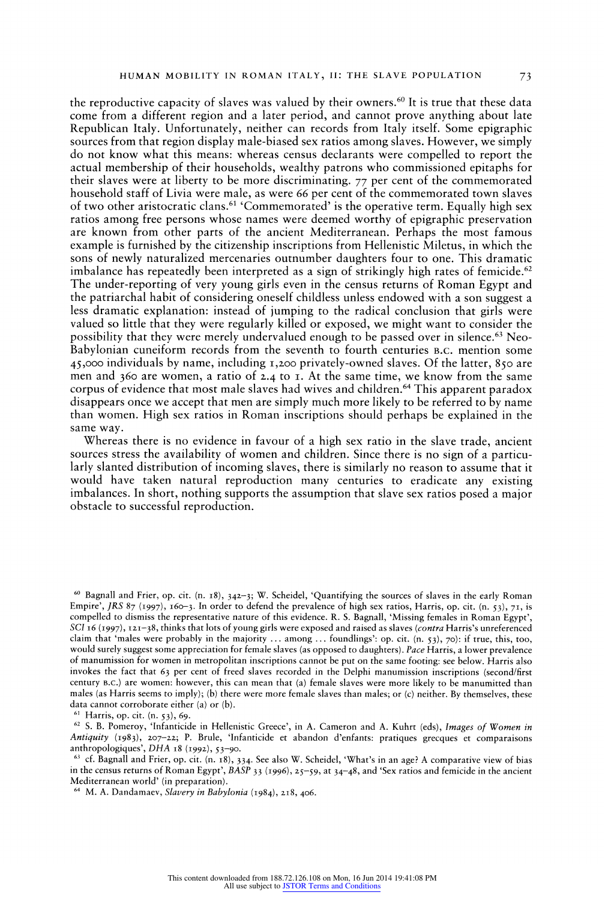the reproductive capacity of slaves was valued by their owners.<sup>60</sup> It is true that these data **come from a different region and a later period, and cannot prove anything about late Republican Italy. Unfortunately, neither can records from Italy itself. Some epigraphic**  do not know what this means: whereas census declarants were compelled to report the actual membership of their households, wealthy patrons who commissioned epitaphs for **actual membership of their households, wealthy patrons who commissioned epitaphs for their slaves were at liberty to be more discriminating. 77 per cent of the commemorated by the comment of the commentation household staff of Livia were male, as were 66 per cent of the commemorated town slaves**  ratios among free persons whose names were deemed worthy of epigraphic preservation **ratios among free persons whose names were deemed worthy of epigraphic preservation are known from other parts of the ancient Mediterranean. Perhaps the most famous example is furnished by the citizenship inscriptions from Hellenistic Miletus, in which the sons of newly naturalized mercenaries outnumber daughters four to one. This dramatic**  imbalance has repeatedly been interpreted as a sign of strikingly high rates of femicide.<sup>62</sup> **The under-reporting of very young girls even in the census returns of Roman Egypt and the patriarchal habit of considering oneself childless unless endowed with a son suggest a less dramatic explanation: instead of jumping to the radical conclusion that girls were valued so little that they were regularly killed or exposed, we might want to consider the**  possibility that they were merely undervalued enough to be passed over in silence.<sup>63</sup> Neo-**Babylonian cuneiform records from the seventh to fourth centuries b.c. mention some 45,000 individuals by name, including 1,200 privately-owned slaves. Of the latter, 850 are men and 360 are women, a ratio of 2.4 to 1. At the same time, we know from the same corpus of evidence that most male slaves had wives and children.64 This apparent paradox disappears once we accept that men are simply much more likely to be referred to by name than women. High sex ratios in Roman inscriptions should perhaps be explained in the same way.** 

Whereas there is no evidence in favour of a high sex ratio in the slave trade, ancient sources stress the availability of women and children. Since there is no sign of a particu**sources stress the availability of women and children. Since there is no sign of a particularly deviated distribution of incoming classes** there is similarly use assess to common that **larly slanted distribution of incoming slaves, there is similarly no reason to assume that it**  would have taken natural reproduction many centuries to eradicate any exist **imbalances. In short, nothing supports the assumption that slave sex ratios posed a major obstacle to successful reproduction.** 

<sup>62</sup> S. B. Pomeroy, 'Infanticide in Hellenistic Greece', in A. Cameron and A. Kuhrt (eds), Images of Women in Antiquity (1983), 207-22; P. Brule, 'Infanticide et abandon d'enfants: pratiques grecques et comparaisons anthropologiques', *DHA* 18 (1992), 53-90.

<sup>&</sup>lt;sup>60</sup> Bagnall and Frier, op. cit. (n. 18), 342-3; W. Scheidel, 'Quantifying the sources of slaves in the early Rom **Empire', JRS 87 (1997), 160-3. In order to defend the prevalence of high sex ratios, Harris, op. cit. (n. 53), 71, is compelled to dismiss the representative nature of this evidence. R. S. Bagnall, 'Missing females in Roman Egypt', SCI 16 (1997), 121-38, thinks that lots of young girls were exposed and raised as slaves (contra Harris's unreferenced claim that 'males were probably in the majority ... among ... foundlings': op. cit. (n. 53), 70): if true, this, too, would surely suggest some appreciation for female slaves (as opposed to daughters). Pace Harris, a lower prevalence of manumission for women in metropolitan inscriptions cannot be put on the same footing: see below. Harris also invokes the fact that 63 per cent of freed slaves recorded in the Delphi manumission inscriptions (second/first century b.c.) are women: however, this can mean that (a) female slaves were more likely to be manumitted than males (as Harris seems to imply); (b) there were more female slaves than males; or (c) neither. By themselves, these**  data cannot corroborate either (a) or (b).<br><sup>61</sup> Harris, op. cit. (n. 53), 69.

<sup>&</sup>lt;sup>63</sup> cf. Bagnall and Frier, op. cit. (n. 18), 334. See also W. Scheidel, 'What's in an age? A comparative view of bias in the census returns of Roman Egypt', BASP 33 (1996), 25-59, at 34-48, and 'Sex ratios and femicide in the ancient Mediterranean world' (in preparation).

<sup>&</sup>lt;sup>64</sup> M. A. Dandamaev, Slavery in Babylonia (1984), 218, 406.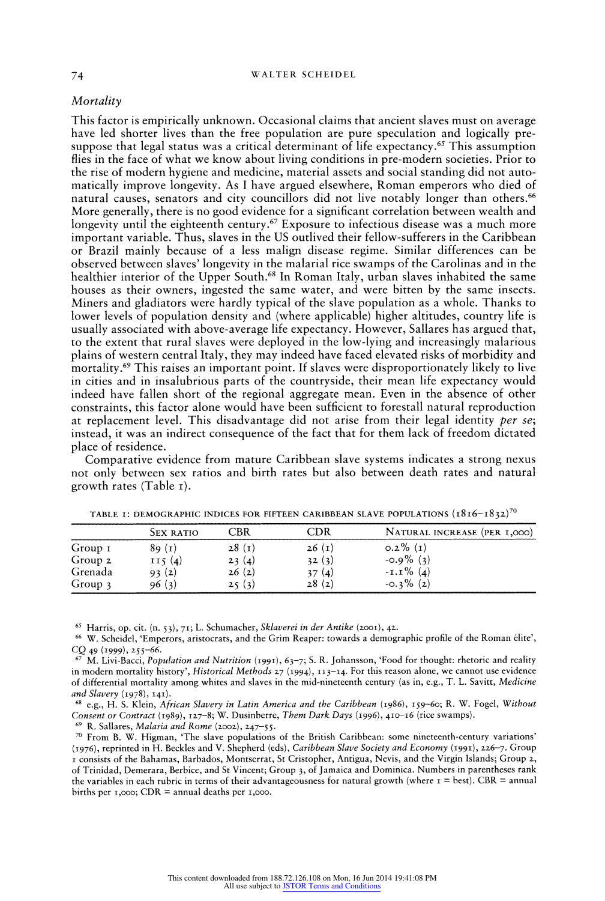# **Mortality**

**This factor is empirically unknown. Occasional claims that ancient slaves must on average have led shorter lives than the free population are pure speculation and logically pre suppose that legal status was a critical determinant of life expectancy.65 This assumption flies in the face of what we know about living conditions in pre-modern societies. Prior to the rise of modern hygiene and medicine, material assets and social standing did not auto matically improve longevity. As I have argued elsewhere, Roman emperors who died of natural causes, senators and city councillors did not live notably longer than others.66**  More generally, there is no good evidence for a significant correlation between wealth and<br>decorrected the sighteenth contains 67 Femanuel to infectionalize to come a much man **longevity until the eighteenth century.**<sup>67</sup> Exposure to infectious disease was a much more  $\frac{1}{2}$ **important variable. Thus, slaves in the US outlived their fellow-sufferers in the Caribbean or Brazil mainly because of a less malign disease regime. Similar differences can be observed between slaves' longevity in the malarial rice swamps of the Carolinas and in the healthier interior of the Upper South.68 In Roman Italy, urban slaves inhabited the same houses as their owners, ingested the same water, and were bitten by the same insects. Miners and gladiators were hardly typical of the slave population as a whole. Thanks to lower levels of population density and (where applicable) higher altitudes, country life is usually associated with above-average life expectancy. However, Sallares has argued that, to the extent that rural slaves were deployed in the low-lying and increasingly malarious plains of western central Italy, they may indeed have faced elevated risks of morbidity and mortality.69 This raises an important point. If slaves were disproportionately likely to live in cities and in insalubrious parts of the countryside, their mean life expectancy would indeed have fallen short of the regional aggregate mean. Even in the absence of other constraints, this factor alone would have been sufficient to forestall natural reproduction at replacement level. This disadvantage did not arise from their legal identity per se; instead, it was an indirect consequence of the fact that for them lack of freedom dictated place of residence.** 

**Comparative evidence from mature Caribbean slave systems indicates a strong nexus not only between sex ratios and birth rates but also between death rates and natural growth rates (Table i).** 

|                     | <b>SEX RATIO</b> | CBR   | CDR   | NATURAL INCREASE (PER 1,000) |
|---------------------|------------------|-------|-------|------------------------------|
| $Group_1$           | 89(1)            | 28(1) | 26(1) | $0.2\%$ (1)                  |
| Group 2             | III5(4)          | 23(4) | 32(3) | $-0.9\%$ (3)                 |
| Grenada             | 93(2)            | 26(2) | 37(4) | $-1.1\%$ (4)                 |
| Group $\frac{1}{3}$ | 96(3)            | 25(3) | 28(2) | $-0.3\%$ (2)                 |

**TABLE i: DEMOGRAPHIC INDICES FOR FIFTEEN CARIBBEAN SLAVE POPULATIONS (1816-1832)70** 

**65 Harris, op. cit. (n. 53), 71; L. Schumacher, Sklaverei in der Antike (2001), 42.** 

<sup>66</sup> W. Scheidel, 'Emperors, aristocrats, and the Grim Reaper: towards a demographic profile of the Roman élite', <br>CQ 49 (1999), 255–66.

**CQ 49 (1999), 255-66. 67 M. Livi-Bacci, Population and Nutrition (1991), 63-7; S. R. Johansson, 'Food for thought: rhetoric and reality in modern mortality history', Historical Methods 27 (1994), 113-14. For this reason alone, we cannot use evidence of differential mortality among whites and slaves in the mid-nineteenth century (as in, e.g., T. L. Savitt, Medicine and Slavery (1978), 141).** 

<sup>68</sup> e.g., H. S. Klein, African Slavery in Latin America and the Caribbean (1986), 159–60; R. W. Fogel, With **Consent or Contract (1989), 127-8; W. Dusinberre, Them Dark Days (1996), 410-16 (rice swamps).** 

**69 R. Sallares, Malaria and Rome (2002), 247-55.** 

**70 From B. W. Higman, 'The slave populations of the British Caribbean: some nineteenth-century variations' (1976), reprinted in H. Beckles and V. Shepherd (eds), Caribbean Slave Society and Economy (1991), 226-7. Group 1 consists of the Bahamas, Barbados, Montserrat, St Cristopher, Antigua, Nevis, and the Virgin Islands; Group 2, of Trinidad, Demerara, Berbice, and St Vincent; Group 3, of Jamaica and Dominica. Numbers in parentheses rank**  the variables in each rubric in terms of their advantageousness for natural growth (where  $r = best$ ). CBR = annual **births per 1,000; CDR = annual deaths per i,ooo.**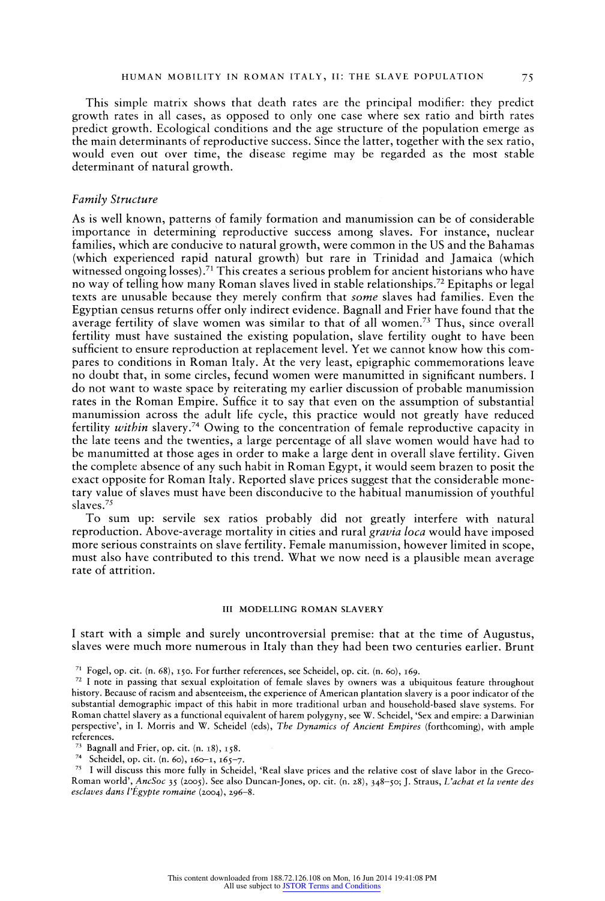**This simple matrix shows that death rates are the principal modifier: they predict growth rates in all cases, as opposed to only one case where sex ratio and birth rates predict growth. Ecological conditions and the age structure of the population emerge as the main determinants of reproductive success. Since the latter, together with the sex ratio, would even out over time, the disease regime may be regarded as the most stable determinant of natural growth.** 

#### **Family Structure**

**As is well known, patterns of family formation and manumission can be of considerable importance in determining reproductive success among slaves. For instance, nuclear families, which are conducive to natural growth, were common in the US and the Bahamas (which experienced rapid natural growth) but rare in Trinidad and Jamaica (which witnessed ongoing losses).71 This creates a serious problem for ancient historians who have no way of telling how many Roman slaves lived in stable relationships.72 Epitaphs or legal texts are unusable because they merely confirm that some slaves had families. Even the Egyptian census returns offer only indirect evidence. Bagnall and Frier have found that the average fertility of slave women was similar to that of all women.73 Thus, since overall fertility must have sustained the existing population, slave fertility ought to have been**  sufficient to ensure reproduction at replacement level. Yet we cannot know how this com**pares to conditions in Roman Italy. At the very least, epigraphic commemorations leave no doubt that, in some circles, fecund women were manumitted in significant numbers. I do not want to waste space by reiterating my earlier discussion of probable manumission rates in the Roman Empire. Suffice it to say that even on the assumption of substantial manumission across the adult life cycle, this practice would not greatly have reduced fertility within slavery.74 Owing to the concentration of female reproductive capacity in the late teens and the twenties, a large percentage of all slave women would have had to be manumitted at those ages in order to make a large dent in overall slave fertility. Given the complete absence of any such habit in Roman Egypt, it would seem brazen to posit the exact opposite for Roman Italy. Reported slave prices suggest that the considerable mone tary value of slaves must have been disconducive to the habitual manumission of youthful slaves.75** 

**To sum up: servile sex ratios probably did not greatly interfere with natural reproduction. Above-average mortality in cities and rural gravia loca would have imposed more serious constraints on slave fertility. Female manumission, however limited in scope, must also have contributed to this trend. What we now need is a plausible mean average rate of attrition.** 

#### **Ill MODELLING ROMAN SLAVERY**

**I start with a simple and surely uncontroversial premise: that at the time of Augustus, slaves were much more numerous in Italy than they had been two centuries earlier. Brunt** 

<sup>75</sup> I will discuss this more fully in Scheidel, 'Real slave prices and the relative cost of slave labor in the Greco-**Roman world', AncSoc 35 (2005). See also Duncan-Jones, op. cit. (n. 28), 348-50; J. Straus, L'achat et la vente des esclaves dans l'Egypte romaine (2004), 296-8.** 

<sup>&</sup>lt;sup>71</sup> Fogel, op. cit. (n. 68), 150. For further references, see Scheidel, op. cit. (n. 60), 169.

<sup>&</sup>lt;sup>72</sup> I note in passing that sexual exploitation of female slaves by owners was a ubiquitous feature throughout **history. Because of racism and absenteeism, the experience of American plantation slavery is a poor indicator of the substantial demographic impact of this habit in more traditional urban and household-based slave systems. For Roman chattel slavery as a functional equivalent of harem polygyny, see W. Scheidel, 'Sex and empire: a Darwinian perspective', in I. Morris and W. Scheidel (eds), The Dynamics of Ancient Empires (forthcoming), with ample references.** 

<sup>&</sup>lt;sup>73</sup> Bagnall and Frier, op. cit. (n. 18), 158.

<sup>&</sup>lt;sup>74</sup> Scheidel, op. cit. (n. 60), 160-1, 165-7.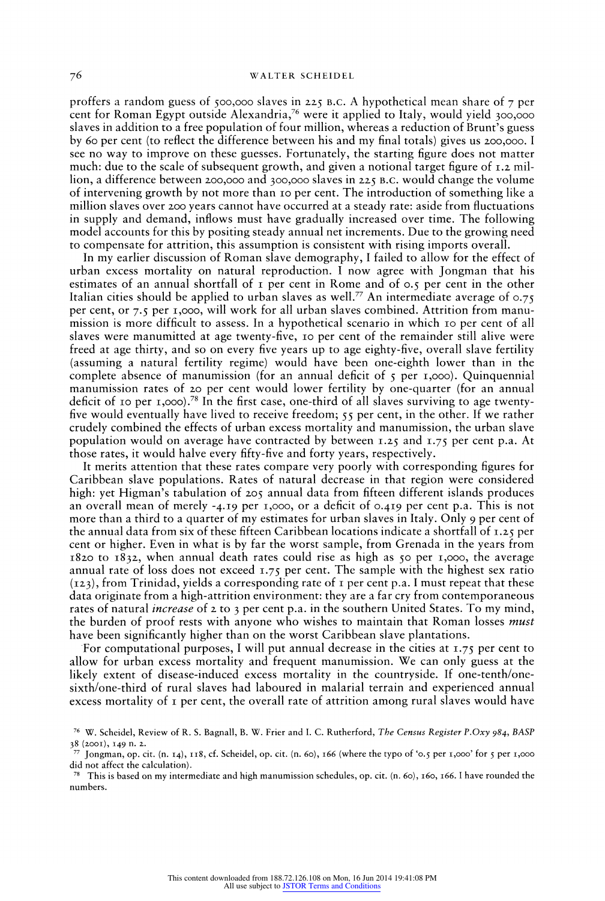profiles a random guess of 500,000 staves in 225 b.c. A hypothetical mean share of 7 per  $\frac{1}{2}$ **cent for Roman Egypt outside Alexandria,<sup>76</sup> were it applied to Italy, would yield 300,000 <br>classes in addition to a free negativity of form william asksocial and design of Brussels and slaves in addition to a free population of four million, whereas a reduction of Brunt's guess by 60 per cent (to reflect the difference between his and my final totals) gives us 200,000. I see no way to improve on these guesses. Fortunately, the starting figure does not matter**  much: due to the scale of subsequent growth, and given a notional target figure of 1.2 mil**lion, a difference between 200,000 and 300,000 slaves in 225 b.c. would change the volume of intervening growth by not more than 10 per cent. The introduction of something like a million slaves over 200 years cannot have occurred at a steady rate: aside from fluctuations in supply and demand, inflows must have gradually increased over time. The following model accounts for this by positing steady annual net increments. Due to the growing need to compensate for attrition, this assumption is consistent with rising imports overall.** 

**In my earlier discussion of Roman slave demography, I failed to allow for the effect of urban excess mortality on natural reproduction. I now agree with Jongman that his estimates of an annual shortfall of 1 per cent in Rome and of 0.5 per cent in the other**  Italian cities should be applied to urban slaves as well.<sup>77</sup> An intermediate average of 0.75 **per cent, or 7.5 per 1,000, will work for all urban slaves combined. Attrition from manu mission is more difficult to assess. In a hypothetical scenario in which 10 per cent of all slaves were manumitted at age twenty-five, 10 per cent of the remainder still alive were freed at age thirty, and so on every five years up to age eighty-five, overall slave fertility (assuming a natural fertility regime) would have been one-eighth lower than in the complete absence of manumission (for an annual deficit of 5 per 1,000). Quinquennial**  manumission rates of 20 per cent would lower fertility by one-quarter (for an ann deficit of 10 per 1,000).<sup>8</sup> In the first case, one-third of all slaves surviving to age twent **five would eventually have lived to receive freedom; 55 per cent, in the other. If we rather crudely combined the effects of urban excess mortality and manumission, the urban slave population would on average have contracted by between 1.25 and 1.75 per cent p.a. At those rates, it would halve every fifty-five and forty years, respectively.** 

**It merits attention that these rates compare very poorly with corresponding figures for Caribbean slave populations. Rates of natural decrease in that region were considered high: yet Higman's tabulation of 205 annual data from fifteen different islands produces an overall mean of merely -4.19 per 1,000, or a deficit of 0.419 per cent p.a. This is not more than a third to a quarter of my estimates for urban slaves in Italy. Only 9 per cent of the annual data from six of these fifteen Caribbean locations indicate a shortfall of 1.25 per cent or higher. Even in what is by far the worst sample, from Grenada in the years from 1820 to 1832, when annual death rates could rise as high as 50 per 1,000, the average annual rate of loss does not exceed 1.75 per cent. The sample with the highest sex ratio (123), from Trinidad, yields a corresponding rate of 1 per cent p.a. I must repeat that these data originate from a high-attrition environment: they are a far cry from contemporaneous rates of natural increase of 2 to 3 per cent p.a. in the southern United States. To my mind, the burden of proof rests with anyone who wishes to maintain that Roman losses must have been significantly higher than on the worst Caribbean slave plantations.** 

**For computational purposes, I will put annual decrease in the cities at 1.75 per cent to allow for urban excess mortality and frequent manumission. We can only guess at the**  likely extent of disease-induced excess mortality in the countryside. If one-tenth/one**sixth/one-third of rural slaves had laboured in malarial terrain and experienced annual excess mortality of 1 per cent, the overall rate of attrition among rural slaves would have** 

**<sup>76</sup> W. Scheidel, Review of R. S. Bagnall, B. W. Frier and I. C. Rutherford, The Census Register P.Oxy 984, BASP 38 (2001), 149 n. 2.** 

**<sup>77</sup>  Jongman, op. cit. (n. 14), 118, cf. Scheide!, op. cit. (n. 60), 166 (where the typo of '0.5 per 1,000' for 5 per 1,000 did not affect the calculation).** 

**<sup>78</sup> This is based on my intermediate and high manumission schedules, op. cit. (n. 60), 160, 166.1 have rounded the numbers.**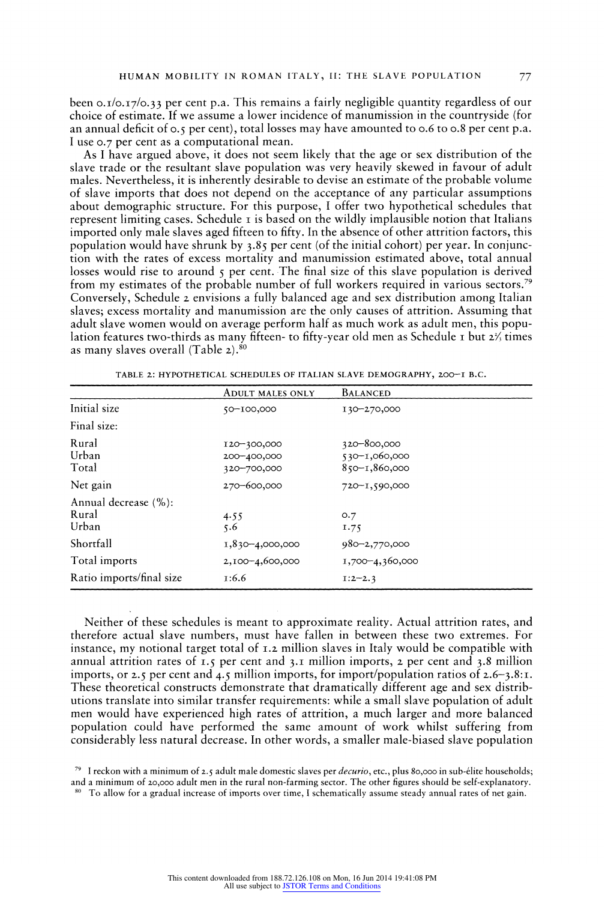**been o.i/o.17/0.33 per cent p.a. This remains a fairly negligible quantity regardless of our choice of estimate. If we assume a lower incidence of manumission in the countryside (for**  an annual deficit of 0.5 per cent), total losses may have amounted to 0.6 to 0.8 per cent p.a. I use 0.7 per cent as a computational mean. **I use 0.7 per cent as a computational mean.** 

As I have argued above, it does not seem likely that the age or sex distribution of the **sex distribution** of the slave trade or the resultant slave population was very heavily skewed in favour of adult males. Nevertheless, it is inherently desirable to devise an estimate of the probable volume **of slave imports that does not depend on the acceptance of any particular assumptions about demographic structure. For this purpose, I offer two hypothetical schedules that represent limiting cases. Schedule 1 is based on the wildly implausible notion that Italians imported only male slaves aged fifteen to fifty. In the absence of other attrition factors, this population would have shrunk by 3.85 per cent** (of the initial cohort) per year. In conjunction of the contract of the contract of the contract of the contract of the contract of the contract of the contract of the contra tion with the rates of excess mortality and manumission estimated above, total annual **losses would rise to around 5 per cent. The final size of this slave population is derived and the state of the state of the state of the state of the state of the state of the state of the state of the state of the state from my estimates of the probable number of full workers required in various sectors.79 Conversely, Schedule 2 envisions a fully balanced age and sex distribution among Italian slaves; excess mortality and manumission are the only causes of attrition. Assuming that adult slave women would on average perform half as much work as adult men, this popu**  lation features two-thirds as many fifteen- to fifty-year old men as Schedule  $\tau$  but  $2\frac{y}{\lambda}$  times **as many slaves overall (Table 2).80** 

|                                        | <b>ADULT MALES ONLY</b>                   | <b>BALANCED</b>                                   |
|----------------------------------------|-------------------------------------------|---------------------------------------------------|
| Initial size                           | $50 - 100,000$                            | 130-270,000                                       |
| Final size:                            |                                           |                                                   |
| Rural<br>Urban<br>Total                | 120-300,000<br>200-400,000<br>320-700,000 | 320-800,000<br>530-1,060,000<br>$850 - 1,860,000$ |
| Net gain                               | 270-600,000                               | 720-1,590,000                                     |
| Annual decrease (%):<br>Rural<br>Urban | 4.55<br>5.6                               | O.7<br>1.75                                       |
| Shortfall                              | $1,830 - 4,000,000$                       | 980-2,770,000                                     |
| Total imports                          | 2,100-4,600,000                           | 1,700-4,360,000                                   |
| Ratio imports/final size               | 1:6.6                                     | $1:2-2.3$                                         |

**TABLE 2: HYPOTHETICAL SCHEDULES OF ITALIAN SLAVE DEMOGRAPHY, 200-I B.C.** 

**Neither of these schedules is meant to approximate reality. Actual attrition rates, and therefore actual slave numbers, must have fallen in between these two extremes. For instance, my notional target total of 1.2 million slaves in Italy would be compatible with annual attrition rates of 1.5 per cent and 3.1 million imports, 2 per cent and 3.8 million imports, or 2.5 per cent and 4.5 million imports, for import/population ratios of 2.6-3.8:1. These theoretical constructs demonstrate that dramatically different age and sex distrib utions translate into similar transfer requirements: while a small slave population of adult men would have experienced high rates of attrition, a much larger and more balanced population could have performed the same amount of work whilst suffering from considerably less natural decrease. In other words, a smaller male-biased slave population** 

<sup>79</sup> I reckon with a minimum of 2.5 adult male domestic slaves per *decurio*, etc., plus 80,000 in sub-élite households; and a minimum of 20,000 adult men in the rural non-farming sector. The other figures should be self-e <sup>80</sup> To allow for a gradual increase of imports over time, I schematically assume steady annual rates of net gain.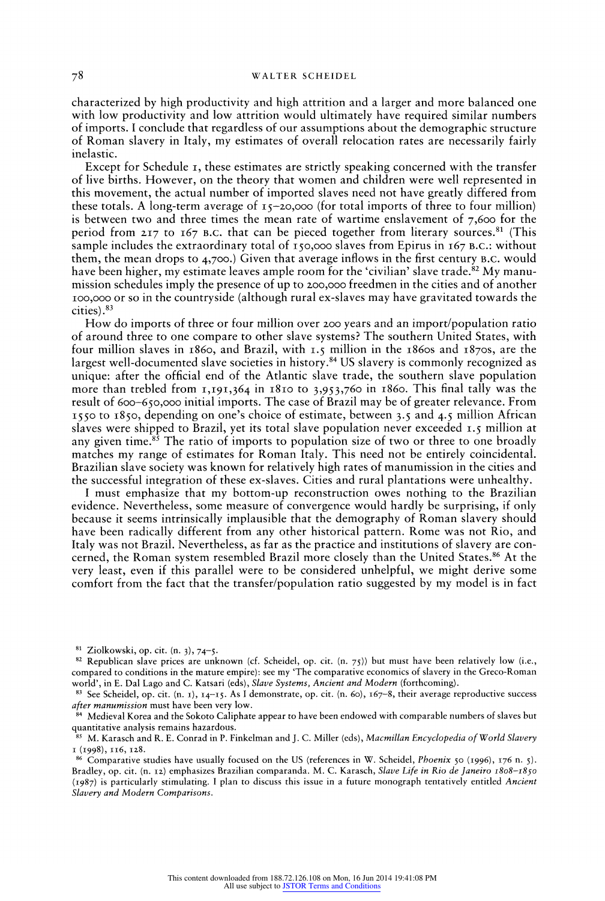# *P***<sub>8</sub>** *WALTER SCHEID*

**characterized by high productivity and high attrition and a larger and more balanced one with low productivity and low attrition would ultimately have required similar numbers of imports. I conclude that regardless of our assumptions about the demographic structure of Roman slavery in Italy, my estimates of overall relocation rates are necessarily fairly inelastic.** 

**Except for Schedule i, these estimates are strictly speaking concerned with the transfer of live births. However, on the theory that women and children were well represented in this movement, the actual number of imported slaves need not have greatly differed from these totals. A long-term average of 15-20,000 (for total imports of three to four million)**  is between two and three times the mean rate of wartime enslavement of 7,600 for the **period from 217 to 167 b.c. that can be pieced together from literary sources.81 (This sample includes the extraordinary total of 150,000 slaves from Epirus in 167 b.c.: without them, the mean drops to 4,700.) Given that average inflows in the first century b.c. would**  have been higher, my estimate leaves ample room for the 'civilian' slave trade.<sup>82</sup> My manu**mission schedules imply the presence of up to 200,000 freedmen in the cities and of another 100,000 or so in the countryside (although rural ex-slaves may have gravitated towards the** 

**c** How do imports of three or four million over 200 years and an import/population ratio **For the state of the set of the state of the state of the state of the state of the state of the state of the state of the state of of around three to one compare to other slave systems? The southern United States, with four million slaves in i860, and Brazil, with 1.5 million in the 1860s and 1870s, are the largest well-documented slave societies in history.84 US slavery is commonly recognized as unique: after the official end of the Atlantic slave trade, the southern slave population more than trebled from 1,191,364 in 1810 to 3,953,760 in i860. This final tally was the result of 600-650,000 initial imports. The case of Brazil may be of greater relevance. From 1550 to 1850, depending on one's choice of estimate, between 3.5 and 4.5 million African slaves were shipped to Brazil, yet its total slave population never exceeded 1.5 million at any given time.85 The ratio of imports to population size of two or three to one broadly matches my range of estimates for Roman Italy. This need not be entirely coincidental. Brazilian slave society was known for relatively high rates of manumission in the cities and the successful integration of these ex-slaves. Cities and rural plantations were unhealthy.** 

**I must emphasize that my bottom-up reconstruction owes nothing to the Brazilian evidence. Nevertheless, some measure of convergence would hardly be surprising, if only because it seems intrinsically implausible that the demography of Roman slavery should have been radically different from any other historical pattern. Rome was not Rio, and Italy was not Brazil. Nevertheless, as far as the practice and institutions of slavery are con cerned, the Roman system resembled Brazil more closely than the United States.86 At the very least, even if this parallel were to be considered unhelpful, we might derive some comfort from the fact that the transfer/population ratio suggested by my model is in fact** 

**<sup>81</sup>  Ziolkowski, op. cit. (n. 3), 74-5.** 

<sup>&</sup>lt;sup>82</sup> Republican slave prices are unknown (cf. Scheidel, op. cit. (n. 75)) but must have been relatively low (i.e. **compared to conditions in the mature empire): see my 'The comparative economics of slavery in the Greco-Roman world', in E. Dal Lago and C. Katsari (eds), Slave Systems, Ancient and Modern (forthcoming).** 

<sup>83</sup> See Scheidel, op. cit. (n. 1), 14-15. As I demonstrate, op. cit. (n. 60), 167-8, their average reproductive success **after manumission must have been very low.** 

**<sup>84</sup> Medieval Korea and the Sokoto Caliphate appear to have been endowed with comparable numbers of slaves but quantitative analysis remains hazardous.** 

**<sup>85</sup> M. Karasch and R. E. Conrad in P. Finkelman and J. C. Miller (eds), Macmillan Encyclopedia of World Slavery 1 (1998), 116, 128.** 

<sup>&</sup>lt;sup>86</sup> Comparative studies have usually focused on the US (references in W. Scheidel, *Phoenix* 50 (1996), 176 n. 5). **Bradley, op. cit. (n. 12) emphasizes Brazilian comparanda. M. C. Karasch, Slave Life in Rio de Janeiro 1808-1850 (1987) is particularly stimulating. I plan to discuss this issue in a future monograph tentatively entitled Ancient Slavery and Modern Comparisons.**